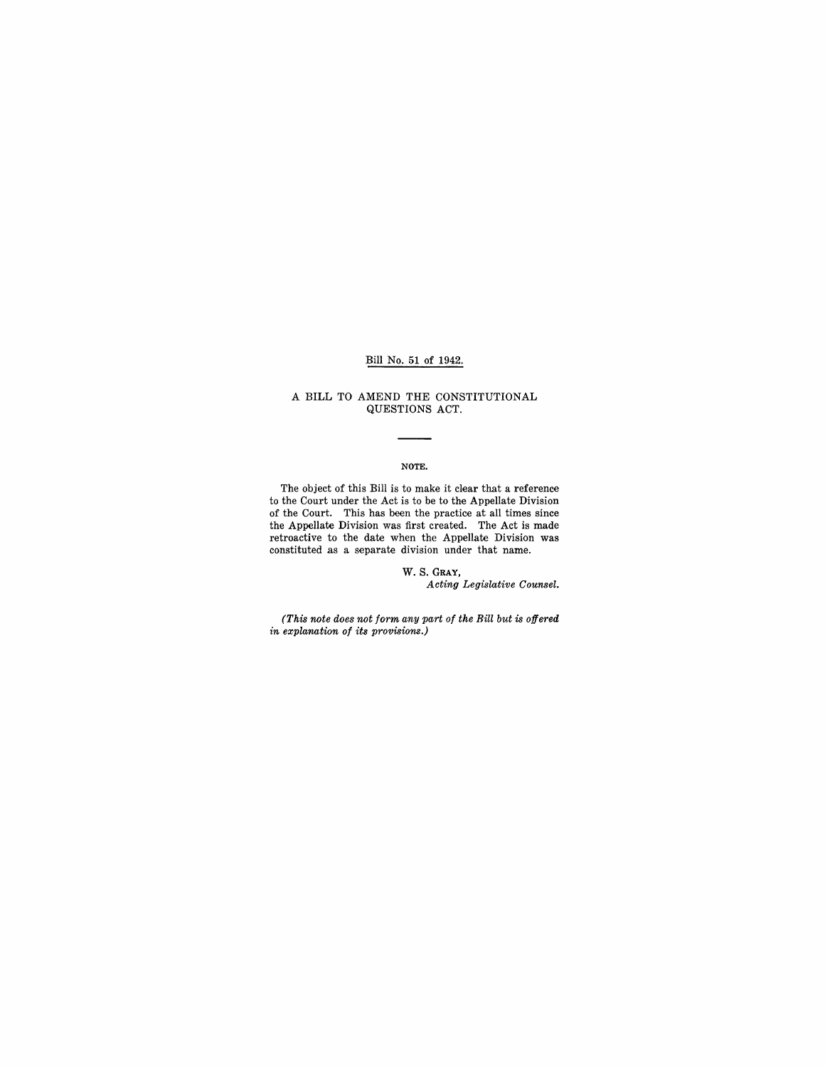## Bill No. 51 of 1942.

#### A BILL TO AMEND THE CONSTITUTIONAL QUESTIONS ACT.

#### NOTE.

The object of this Bill is to make it clear that a reference to the Court under the Act is to be to the Appellate Division of the Court. This has been the practice at all times since the Appellate Division was first created. The Act is made retroactive to the date when the Appellate Division was constituted as a separate division under that name.

> w. S. GRAY, *Acting Legislative Counsel.*

*(This note does not form any part of the Bill but is offered in explanation of its provisions.)*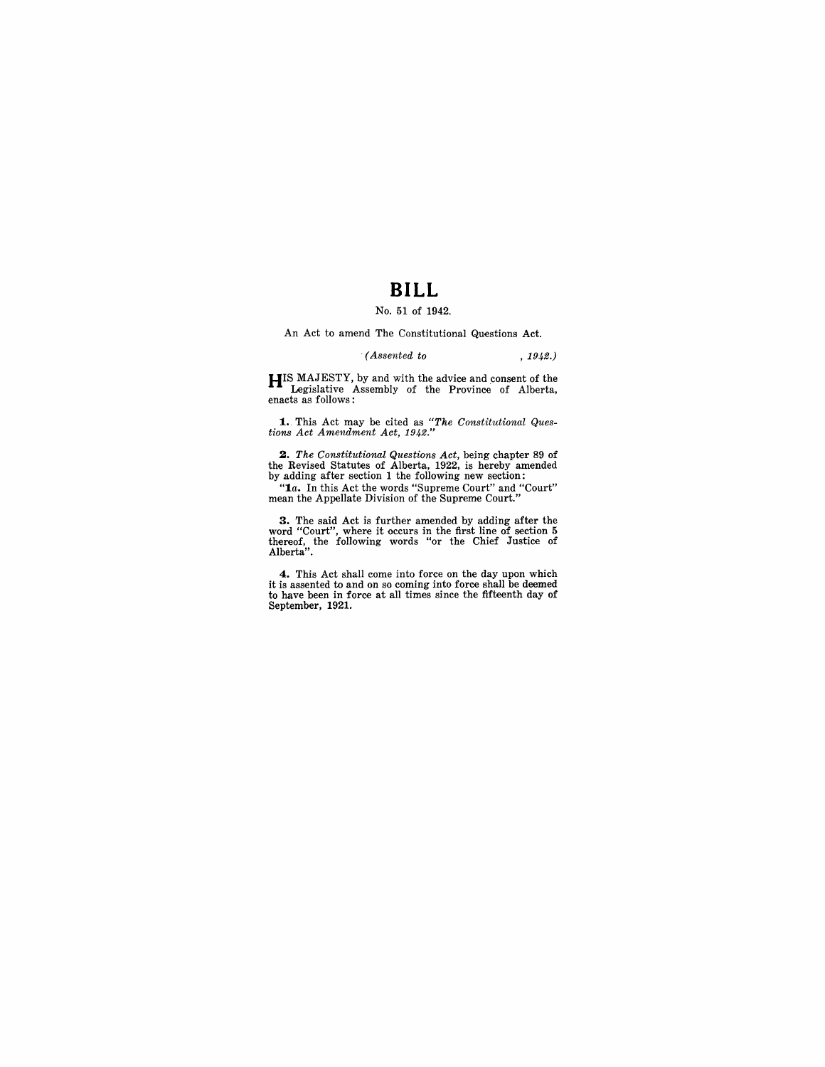# **BILL**

#### No. 51 of 1942.

An Act to amend The Constitutional Questions Act.

#### . *(Assented to* , 1942.)

**HIS MAJESTY, by and with the advice and consent of the Legislative Assembly of the Province of Alberta,** enacts as follows:

1 .. This Act may be cited as *"The Constitutional Ques-tions Act Amendment Act, 1942."* 

2. The Constitutional Questions Act, being chapter 89 of the Revised Statutes of Alberta, 1922, is hereby amended by adding after section 1 the following new section:

*"1a.* In this Act the words "Supreme Court" and "Court" mean the Appellate Division of the Supreme Court."

**3.** The said Act is further amended by adding after the word "Court", where it occurs in the first line of section 5 thereof, the following words "or the Chief Justice of Alberta".

**4.** This Act shall come into force on the day upon which it is assented to and on so coming into force shall be deemed to have been in force at all times since the fifteenth day of September, 1921.